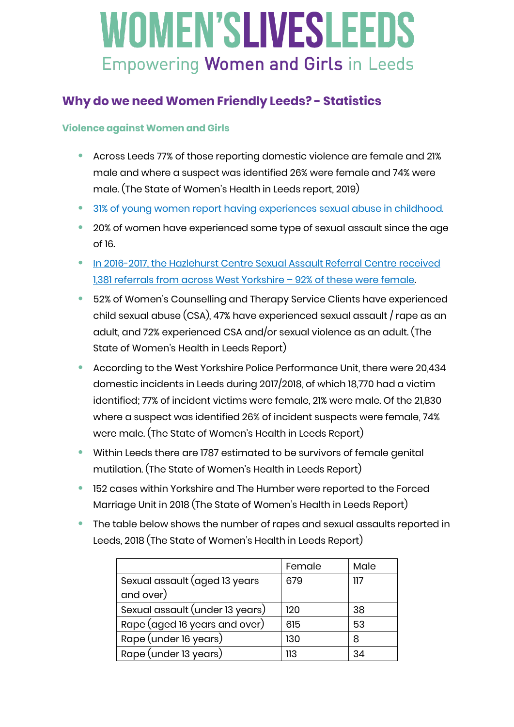### **Why do we need Women Friendly Leeds? - Statistics**

### **Violence against Women and Girls**

- **•** Across Leeds 77% of those reporting domestic violence are female and 21% male and where a suspect was identified 26% were female and 74% were male. (The State of Women's Health in Leeds report, 2019)
- **•** [31% of young women report having experiences sexual abuse in childhood.](https://rapecrisis.org.uk/get-informed/about-sexual-violence/statistics-sexual-violence/)
- **•** 20% of women have experienced some type of sexual assault since the age of 16.
- **•** [In 2016-2017, the Hazlehurst Centre Sexual Assault Referral Centre received](https://www.hazlehurstcentre.org/)  [1,381 referrals from across West Yorkshire](https://www.hazlehurstcentre.org/) – 92% of these were female.
- **•** 52% of Women's Counselling and Therapy Service Clients have experienced child sexual abuse (CSA), 47% have experienced sexual assault / rape as an adult, and 72% experienced CSA and/or sexual violence as an adult. (The State of Women's Health in Leeds Report)
- **•** According to the West Yorkshire Police Performance Unit, there were 20,434 domestic incidents in Leeds during 2017/2018, of which 18,770 had a victim identified; 77% of incident victims were female, 21% were male. Of the 21,830 where a suspect was identified 26% of incident suspects were female, 74% were male. (The State of Women's Health in Leeds Report)
- **•** Within Leeds there are 1787 estimated to be survivors of female genital mutilation. (The State of Women's Health in Leeds Report)
- **•** 152 cases within Yorkshire and The Humber were reported to the Forced Marriage Unit in 2018 (The State of Women's Health in Leeds Report)
- **•** The table below shows the number of rapes and sexual assaults reported in Leeds, 2018 (The State of Women's Health in Leeds Report)

|                                 | Female | Male |
|---------------------------------|--------|------|
| Sexual assault (aged 13 years   | 679    | 117  |
| and over)                       |        |      |
| Sexual assault (under 13 years) | 120    | 38   |
| Rape (aged 16 years and over)   | 615    | 53   |
| Rape (under 16 years)           | 130    | 8    |
| Rape (under 13 years)           | 113    | 34   |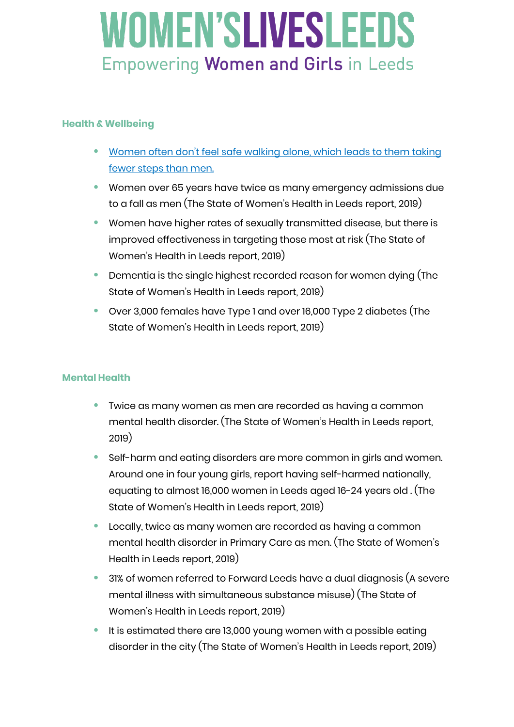### **Health & Wellbeing**

- **•** [Women often don't feel safe walking alone, which leads to them taking](https://www.theguardian.com/inequality/2017/oct/20/ive-been-followed-attacked-spat-on-women-on-feeling-scared-to-walk-alone)  [fewer steps than men.](https://www.theguardian.com/inequality/2017/oct/20/ive-been-followed-attacked-spat-on-women-on-feeling-scared-to-walk-alone)
- **•** Women over 65 years have twice as many emergency admissions due to a fall as men (The State of Women's Health in Leeds report, 2019)
- **•** Women have higher rates of sexually transmitted disease, but there is improved effectiveness in targeting those most at risk (The State of Women's Health in Leeds report, 2019)
- **•** Dementia is the single highest recorded reason for women dying (The State of Women's Health in Leeds report, 2019)
- **•** Over 3,000 females have Type 1 and over 16,000 Type 2 diabetes (The State of Women's Health in Leeds report, 2019)

#### **Mental Health**

- **•** Twice as many women as men are recorded as having a common mental health disorder. (The State of Women's Health in Leeds report, 2019)
- **•** Self-harm and eating disorders are more common in girls and women. Around one in four young girls, report having self-harmed nationally, equating to almost 16,000 women in Leeds aged 16-24 years old . (The State of Women's Health in Leeds report, 2019)
- **•** Locally, twice as many women are recorded as having a common mental health disorder in Primary Care as men. (The State of Women's Health in Leeds report, 2019)
- **•** 31% of women referred to Forward Leeds have a dual diagnosis (A severe mental illness with simultaneous substance misuse) (The State of Women's Health in Leeds report, 2019)
- **•** It is estimated there are 13,000 young women with a possible eating disorder in the city (The State of Women's Health in Leeds report, 2019)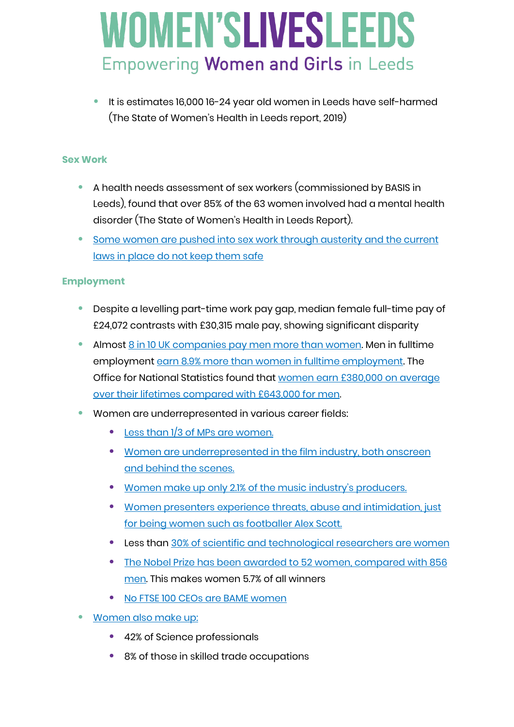**•** It is estimates 16,000 16-24 year old women in Leeds have self-harmed (The State of Women's Health in Leeds report, 2019)

#### **Sex Work**

- **•** A health needs assessment of sex workers (commissioned by BASIS in Leeds), found that over 85% of the 63 women involved had a mental health disorder (The State of Women's Health in Leeds Report).
- **•** [Some women are pushed into sex work through austerity and](https://www.vice.com/en_uk/article/xwe933/this-home-office-report-proves-sex-workers-have-been-right-all-along) the current [laws in place do not keep them safe](https://www.vice.com/en_uk/article/xwe933/this-home-office-report-proves-sex-workers-have-been-right-all-along)

#### **Employment**

- **•** Despite a levelling part-time work pay gap, median female full-time pay of £24,072 contrasts with £30,315 male pay, showing significant disparity
- **•** Almost [8 in 10 UK companies pay men more than women.](https://www.theguardian.com/world/2019/apr/04/gender-pay-gap-figures-show-eight-in-10-uk-firms-pay-men-more-than-women) Men in fulltime employment [earn 8.9% more than women in fulltime employment.](https://www.theguardian.com/money/2019/oct/29/uk-gender-pay-gap-full-time-workers) The Office for National Statistics found that [women earn £380,000 on average](https://www.theguardian.com/world/2019/oct/28/women-paid-less-than-men-over-careers-gender-pay-gap-report)  [over their lifetimes compared with £643,000 for men.](https://www.theguardian.com/world/2019/oct/28/women-paid-less-than-men-over-careers-gender-pay-gap-report)
- **•** Women are underrepresented in various career fields:
	- **•** [Less than 1/3 of MPs are women.](https://www.parliament.uk/about/faqs/house-of-commons-faqs/members-faq-page2/#jump-link-3)
	- **•** [Women are underrepresented in the film industry, both onscreen](https://womenandhollywood.com/resources/statistics/2018-statistics/)  [and behind the scenes.](https://womenandhollywood.com/resources/statistics/2018-statistics/)
	- **•** [Women make up only 2.1% of the music industry's producers.](https://www.forbes.com/sites/caitlinkelley/2019/02/06/music-industry-study-annenberg-gender-equality/)
	- **•** [Women presenters experience threats, abuse and intimidation, just](https://www.independent.co.uk/sport/football/premier-league/alex-scott-sky-sports-bbc-sport-tv-pundit-twitter-sexism-abuse-a8907511.html)  [for being women such as footballer Alex Scott.](https://www.independent.co.uk/sport/football/premier-league/alex-scott-sky-sports-bbc-sport-tv-pundit-twitter-sexism-abuse-a8907511.html)
	- **•** Less than [30% of scientific and technological researchers are women](https://www.unwomen.org/en/news/in-focus/international-day-of-women-and-girls-in-science)
	- **•** [The Nobel Prize has been awarded to 52 women, compared with 856](https://stats.areppim.com/stats/stats_nobel_sexxcat.htm)  [men.](https://stats.areppim.com/stats/stats_nobel_sexxcat.htm) This makes women 5.7% of all winners
	- **•** [No FTSE 100 CEOs are BAME women](https://www.thehrdirector.com/features/diversity-and-equality/ethnic-diverse-ftse-100-boards/)
- **•** [Women also make up:](https://www.wisecampaign.org.uk/statistics/women-in-stem-workforce-2017/)
	- **•** 42% of Science professionals
	- **•** 8% of those in skilled trade occupations